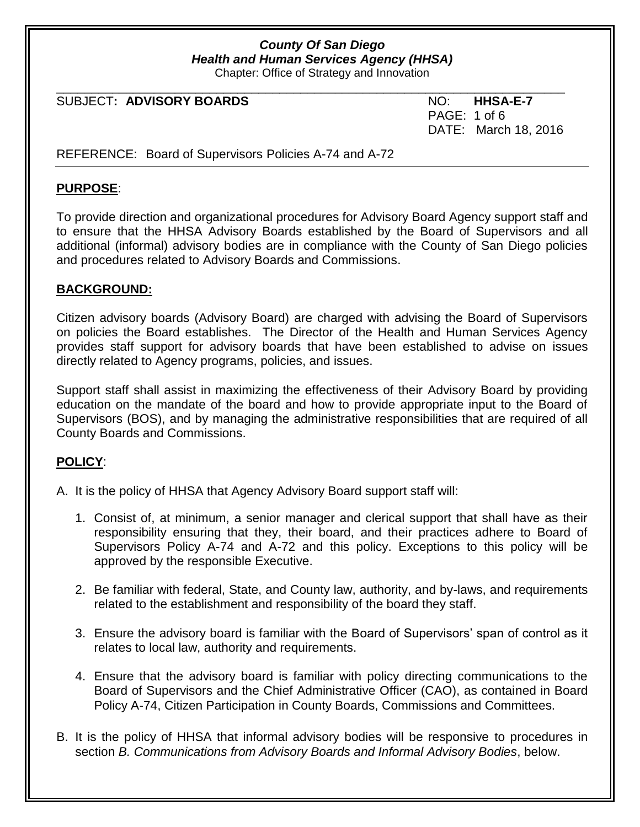Chapter: Office of Strategy and Innovation

\_\_\_\_\_\_\_\_\_\_\_\_\_\_\_\_\_\_\_\_\_\_\_\_\_\_\_\_\_\_\_\_\_\_\_\_\_\_\_\_\_\_\_\_\_\_\_\_\_\_\_\_\_\_\_\_\_\_\_\_\_\_\_\_\_\_\_\_\_\_\_\_\_

#### $SUBJECT: ADVISORY BOARDS$   $NO: HHSA-E-7$

PAGE: 1 of 6 DATE: March 18, 2016

### REFERENCE: Board of Supervisors Policies A-74 and A-72

### **PURPOSE**:

To provide direction and organizational procedures for Advisory Board Agency support staff and to ensure that the HHSA Advisory Boards established by the Board of Supervisors and all additional (informal) advisory bodies are in compliance with the County of San Diego policies and procedures related to Advisory Boards and Commissions.

### **BACKGROUND:**

Citizen advisory boards (Advisory Board) are charged with advising the Board of Supervisors on policies the Board establishes. The Director of the Health and Human Services Agency provides staff support for advisory boards that have been established to advise on issues directly related to Agency programs, policies, and issues.

Support staff shall assist in maximizing the effectiveness of their Advisory Board by providing education on the mandate of the board and how to provide appropriate input to the Board of Supervisors (BOS), and by managing the administrative responsibilities that are required of all County Boards and Commissions.

### **POLICY**:

A. It is the policy of HHSA that Agency Advisory Board support staff will:

- 1. Consist of, at minimum, a senior manager and clerical support that shall have as their responsibility ensuring that they, their board, and their practices adhere to Board of Supervisors Policy A-74 and A-72 and this policy. Exceptions to this policy will be approved by the responsible Executive.
- 2. Be familiar with federal, State, and County law, authority, and by-laws, and requirements related to the establishment and responsibility of the board they staff.
- 3. Ensure the advisory board is familiar with the Board of Supervisors' span of control as it relates to local law, authority and requirements.
- 4. Ensure that the advisory board is familiar with policy directing communications to the Board of Supervisors and the Chief Administrative Officer (CAO), as contained in Board Policy A-74, Citizen Participation in County Boards, Commissions and Committees.
- B. It is the policy of HHSA that informal advisory bodies will be responsive to procedures in section *B. Communications from Advisory Boards and Informal Advisory Bodies*, below.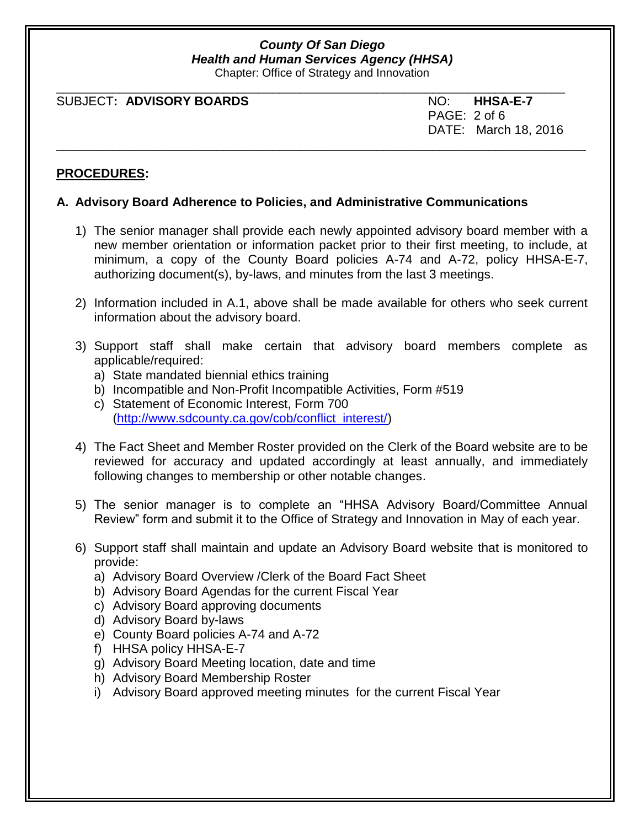Chapter: Office of Strategy and Innovation

| SUBJECT: ADVISORY BOARDS | NO: HHSA-E-7         |
|--------------------------|----------------------|
|                          | PAGE: 2 of 6         |
|                          | DATE: March 18, 2016 |

#### **PROCEDURES:**

### **A. Advisory Board Adherence to Policies, and Administrative Communications**

- 1) The senior manager shall provide each newly appointed advisory board member with a new member orientation or information packet prior to their first meeting, to include, at minimum, a copy of the County Board policies A-74 and A-72, policy HHSA-E-7, authorizing document(s), by-laws, and minutes from the last 3 meetings.
- 2) Information included in A.1, above shall be made available for others who seek current information about the advisory board.
- 3) Support staff shall make certain that advisory board members complete as applicable/required:
	- a) State mandated biennial ethics training
	- b) Incompatible and Non-Profit Incompatible Activities, Form #519
	- c) Statement of Economic Interest, Form 700 [\(http://www.sdcounty.ca.gov/cob/conflict\\_interest/\)](http://www.sdcounty.ca.gov/cob/conflict_interest/)
- 4) The Fact Sheet and Member Roster provided on the Clerk of the Board website are to be reviewed for accuracy and updated accordingly at least annually, and immediately following changes to membership or other notable changes.
- 5) The senior manager is to complete an "HHSA Advisory Board/Committee Annual Review" form and submit it to the Office of Strategy and Innovation in May of each year.
- 6) Support staff shall maintain and update an Advisory Board website that is monitored to provide:
	- a) Advisory Board Overview /Clerk of the Board Fact Sheet
	- b) Advisory Board Agendas for the current Fiscal Year
	- c) Advisory Board approving documents
	- d) Advisory Board by-laws
	- e) County Board policies A-74 and A-72
	- f) HHSA policy HHSA-E-7
	- g) Advisory Board Meeting location, date and time
	- h) Advisory Board Membership Roster
	- i) Advisory Board approved meeting minutes for the current Fiscal Year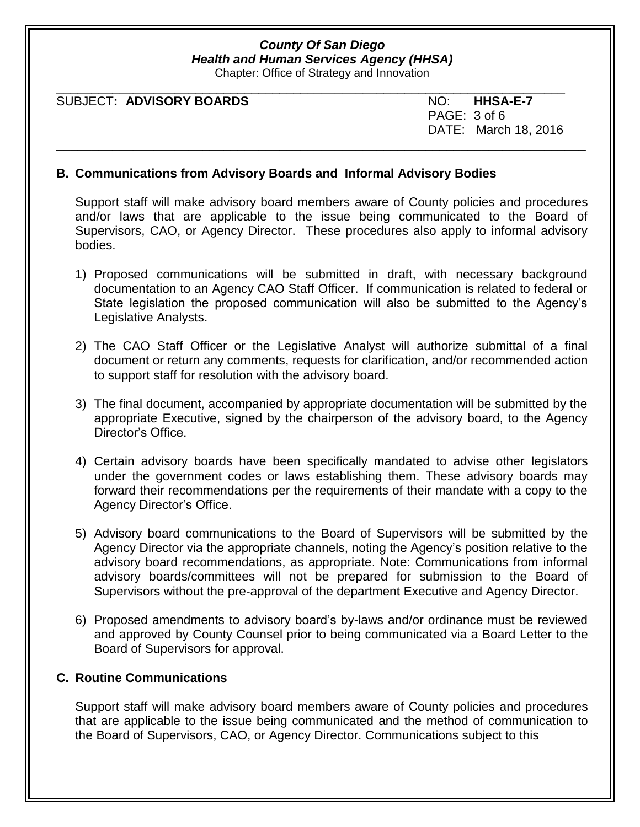Chapter: Office of Strategy and Innovation

| SUBJECT: ADVISORY BOARDS | NO: HHSA-E-7         |
|--------------------------|----------------------|
|                          | PAGE: 3 of 6         |
|                          | DATE: March 18, 2016 |

#### **B. Communications from Advisory Boards and Informal Advisory Bodies**

Support staff will make advisory board members aware of County policies and procedures and/or laws that are applicable to the issue being communicated to the Board of Supervisors, CAO, or Agency Director. These procedures also apply to informal advisory bodies.

- 1) Proposed communications will be submitted in draft, with necessary background documentation to an Agency CAO Staff Officer. If communication is related to federal or State legislation the proposed communication will also be submitted to the Agency's Legislative Analysts.
- 2) The CAO Staff Officer or the Legislative Analyst will authorize submittal of a final document or return any comments, requests for clarification, and/or recommended action to support staff for resolution with the advisory board.
- 3) The final document, accompanied by appropriate documentation will be submitted by the appropriate Executive, signed by the chairperson of the advisory board, to the Agency Director's Office.
- 4) Certain advisory boards have been specifically mandated to advise other legislators under the government codes or laws establishing them. These advisory boards may forward their recommendations per the requirements of their mandate with a copy to the Agency Director's Office.
- 5) Advisory board communications to the Board of Supervisors will be submitted by the Agency Director via the appropriate channels, noting the Agency's position relative to the advisory board recommendations, as appropriate. Note: Communications from informal advisory boards/committees will not be prepared for submission to the Board of Supervisors without the pre-approval of the department Executive and Agency Director.
- 6) Proposed amendments to advisory board's by-laws and/or ordinance must be reviewed and approved by County Counsel prior to being communicated via a Board Letter to the Board of Supervisors for approval.

#### **C. Routine Communications**

Support staff will make advisory board members aware of County policies and procedures that are applicable to the issue being communicated and the method of communication to the Board of Supervisors, CAO, or Agency Director. Communications subject to this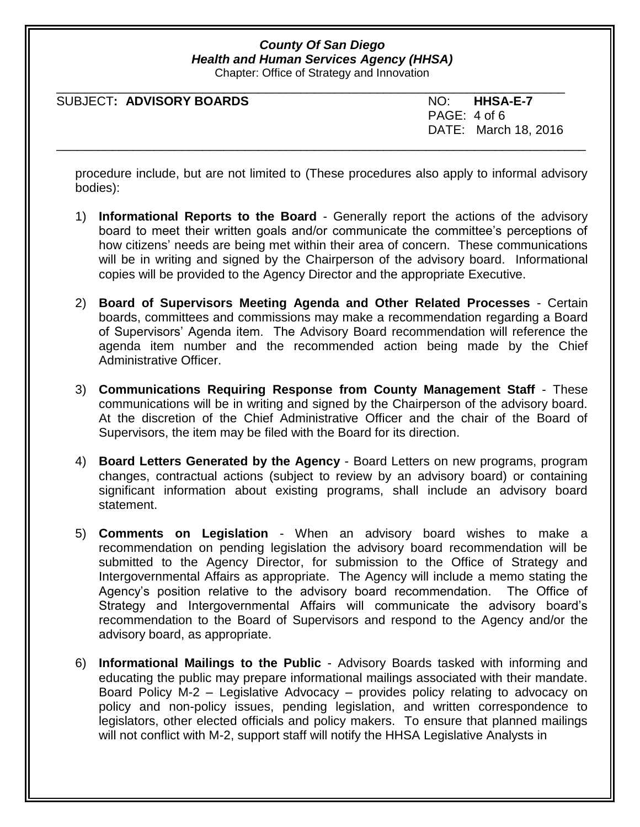Chapter: Office of Strategy and Innovation

| NO: HHSA-E-7         |
|----------------------|
| PAGE: 4 of 6         |
| DATE: March 18, 2016 |
|                      |

procedure include, but are not limited to (These procedures also apply to informal advisory bodies):

- 1) **Informational Reports to the Board** Generally report the actions of the advisory board to meet their written goals and/or communicate the committee's perceptions of how citizens' needs are being met within their area of concern. These communications will be in writing and signed by the Chairperson of the advisory board. Informational copies will be provided to the Agency Director and the appropriate Executive.
- 2) **Board of Supervisors Meeting Agenda and Other Related Processes** Certain boards, committees and commissions may make a recommendation regarding a Board of Supervisors' Agenda item. The Advisory Board recommendation will reference the agenda item number and the recommended action being made by the Chief Administrative Officer.
- 3) **Communications Requiring Response from County Management Staff** These communications will be in writing and signed by the Chairperson of the advisory board. At the discretion of the Chief Administrative Officer and the chair of the Board of Supervisors, the item may be filed with the Board for its direction.
- 4) **Board Letters Generated by the Agency**  Board Letters on new programs, program changes, contractual actions (subject to review by an advisory board) or containing significant information about existing programs, shall include an advisory board statement.
- 5) **Comments on Legislation** When an advisory board wishes to make a recommendation on pending legislation the advisory board recommendation will be submitted to the Agency Director, for submission to the Office of Strategy and Intergovernmental Affairs as appropriate. The Agency will include a memo stating the Agency's position relative to the advisory board recommendation. The Office of Strategy and Intergovernmental Affairs will communicate the advisory board's recommendation to the Board of Supervisors and respond to the Agency and/or the advisory board, as appropriate.
- 6) **Informational Mailings to the Public** Advisory Boards tasked with informing and educating the public may prepare informational mailings associated with their mandate. Board Policy M-2 – Legislative Advocacy – provides policy relating to advocacy on policy and non-policy issues, pending legislation, and written correspondence to legislators, other elected officials and policy makers. To ensure that planned mailings will not conflict with M-2, support staff will notify the HHSA Legislative Analysts in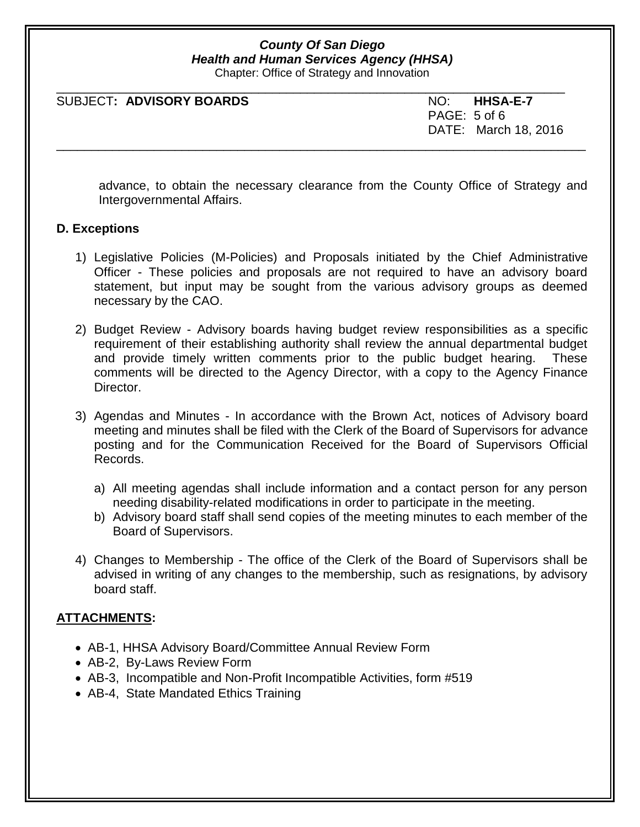Chapter: Office of Strategy and Innovation

| NO: HHSA-E-7         |
|----------------------|
| PAGE: 5 of 6         |
| DATE: March 18, 2016 |
|                      |

advance, to obtain the necessary clearance from the County Office of Strategy and Intergovernmental Affairs.

#### **D. Exceptions**

- 1) Legislative Policies (M-Policies) and Proposals initiated by the Chief Administrative Officer - These policies and proposals are not required to have an advisory board statement, but input may be sought from the various advisory groups as deemed necessary by the CAO.
- 2) Budget Review Advisory boards having budget review responsibilities as a specific requirement of their establishing authority shall review the annual departmental budget and provide timely written comments prior to the public budget hearing. These comments will be directed to the Agency Director, with a copy to the Agency Finance Director.
- 3) Agendas and Minutes In accordance with the Brown Act, notices of Advisory board meeting and minutes shall be filed with the Clerk of the Board of Supervisors for advance posting and for the Communication Received for the Board of Supervisors Official Records.
	- a) All meeting agendas shall include information and a contact person for any person needing disability-related modifications in order to participate in the meeting.
	- b) Advisory board staff shall send copies of the meeting minutes to each member of the Board of Supervisors.
- 4) Changes to Membership The office of the Clerk of the Board of Supervisors shall be advised in writing of any changes to the membership, such as resignations, by advisory board staff.

### **ATTACHMENTS:**

- AB-1, HHSA Advisory Board/Committee Annual Review Form
- AB-2, By-Laws Review Form
- AB-3, Incompatible and Non-Profit Incompatible Activities, form #519
- AB-4, State Mandated Ethics Training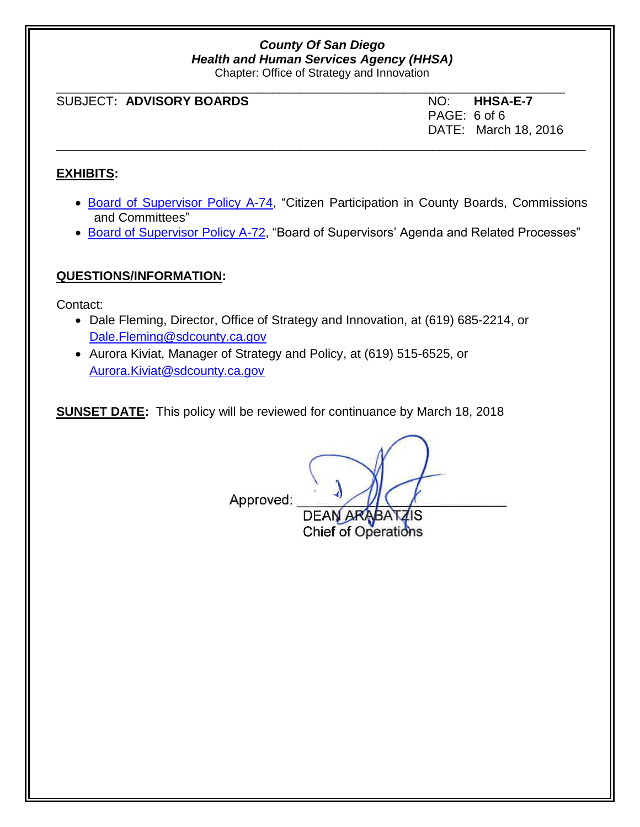Chapter: Office of Strategy and Innovation

| SUBJECT: ADVISORY BOARDS | NO: HHSA-E-7         |
|--------------------------|----------------------|
|                          | PAGE: 6 of 6         |
|                          | DATE: March 18, 2016 |

### **EXHIBITS:**

- [Board of Supervisor Policy A-74,](http://www.sdcounty.ca.gov/cob/docs/policy/A-74.pdf) "Citizen Participation in County Boards, Commissions and Committees"
- [Board of Supervisor Policy A-72,](http://www.sdcounty.ca.gov/cob/docs/policy/A-72.pdf) "Board of Supervisors' Agenda and Related Processes"

**Chief of Operations** 

### **QUESTIONS/INFORMATION:**

Contact:

- Dale Fleming, Director, Office of Strategy and Innovation, at (619) 685-2214, or [Dale.Fleming@sdcounty.ca.gov](mailto:Dale.Fleming@sdcounty.ca.gov)
- Aurora Kiviat, Manager of Strategy and Policy, at (619) 515-6525, or [Aurora.Kiviat@sdcounty.ca.gov](mailto:Aurora.Kiviat@sdcounty.ca.gov)

**SUNSET DATE:** This policy will be reviewed for continuance by March 18, 2018

Approved: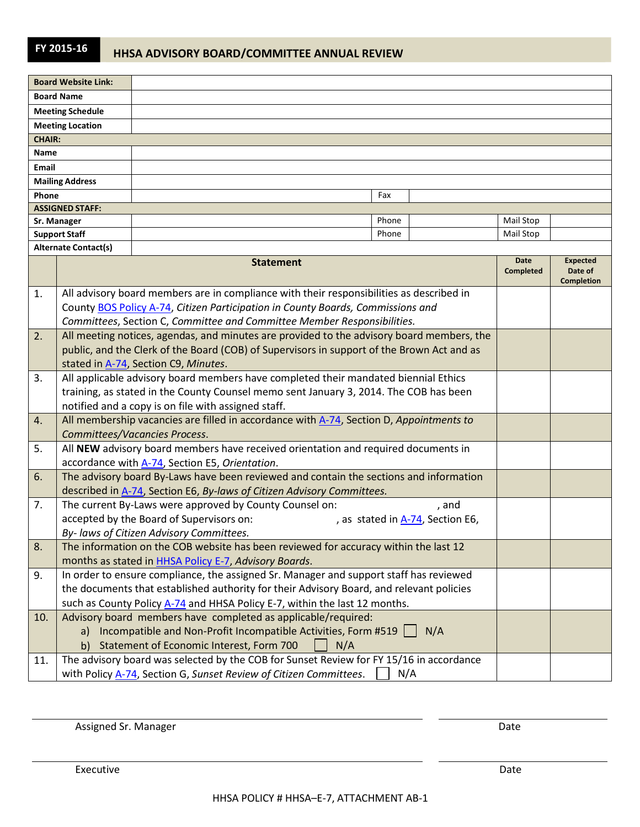| <b>Board Website Link:</b>  |                  |       |  |                          |                            |
|-----------------------------|------------------|-------|--|--------------------------|----------------------------|
| <b>Board Name</b>           |                  |       |  |                          |                            |
| <b>Meeting Schedule</b>     |                  |       |  |                          |                            |
| <b>Meeting Location</b>     |                  |       |  |                          |                            |
| <b>CHAIR:</b>               |                  |       |  |                          |                            |
| Name                        |                  |       |  |                          |                            |
| Email                       |                  |       |  |                          |                            |
| <b>Mailing Address</b>      |                  |       |  |                          |                            |
| Phone                       |                  | Fax   |  |                          |                            |
| <b>ASSIGNED STAFF:</b>      |                  |       |  |                          |                            |
| Sr. Manager                 |                  | Phone |  | Mail Stop                |                            |
| <b>Support Staff</b>        |                  | Phone |  | Mail Stop                |                            |
| <b>Alternate Contact(s)</b> |                  |       |  |                          |                            |
|                             | <b>Statement</b> |       |  | Date<br><b>Completed</b> | <b>Expected</b><br>Date of |

|     | olalement                                                                                  | <b>Completed</b> | Date of<br><b>Completion</b> |
|-----|--------------------------------------------------------------------------------------------|------------------|------------------------------|
| 1.  | All advisory board members are in compliance with their responsibilities as described in   |                  |                              |
|     | County BOS Policy A-74, Citizen Participation in County Boards, Commissions and            |                  |                              |
|     | Committees, Section C, Committee and Committee Member Responsibilities.                    |                  |                              |
| 2.  | All meeting notices, agendas, and minutes are provided to the advisory board members, the  |                  |                              |
|     | public, and the Clerk of the Board (COB) of Supervisors in support of the Brown Act and as |                  |                              |
|     | stated in A-74, Section C9, Minutes.                                                       |                  |                              |
| 3.  | All applicable advisory board members have completed their mandated biennial Ethics        |                  |                              |
|     | training, as stated in the County Counsel memo sent January 3, 2014. The COB has been      |                  |                              |
|     | notified and a copy is on file with assigned staff.                                        |                  |                              |
| 4.  | All membership vacancies are filled in accordance with A-74, Section D, Appointments to    |                  |                              |
|     | Committees/Vacancies Process.                                                              |                  |                              |
| 5.  | All NEW advisory board members have received orientation and required documents in         |                  |                              |
|     | accordance with A-74, Section E5, Orientation.                                             |                  |                              |
| 6.  | The advisory board By-Laws have been reviewed and contain the sections and information     |                  |                              |
|     | described in A-74, Section E6, By-laws of Citizen Advisory Committees.                     |                  |                              |
| 7.  | The current By-Laws were approved by County Counsel on:<br>, and                           |                  |                              |
|     | accepted by the Board of Supervisors on:<br>, as stated in A-74, Section E6,               |                  |                              |
|     | By- laws of Citizen Advisory Committees.                                                   |                  |                              |
| 8.  | The information on the COB website has been reviewed for accuracy within the last 12       |                  |                              |
|     | months as stated in HHSA Policy E-7, Advisory Boards.                                      |                  |                              |
| 9.  | In order to ensure compliance, the assigned Sr. Manager and support staff has reviewed     |                  |                              |
|     | the documents that established authority for their Advisory Board, and relevant policies   |                  |                              |
|     | such as County Policy A-74 and HHSA Policy E-7, within the last 12 months.                 |                  |                              |
| 10. | Advisory board members have completed as applicable/required:                              |                  |                              |
|     | a) Incompatible and Non-Profit Incompatible Activities, Form #519    <br>N/A               |                  |                              |
|     | Statement of Economic Interest, Form 700<br>N/A<br>b)                                      |                  |                              |
| 11. | The advisory board was selected by the COB for Sunset Review for FY 15/16 in accordance    |                  |                              |
|     | with Policy A-74, Section G, Sunset Review of Citizen Committees.<br>N/A                   |                  |                              |

Assigned Sr. Manager Date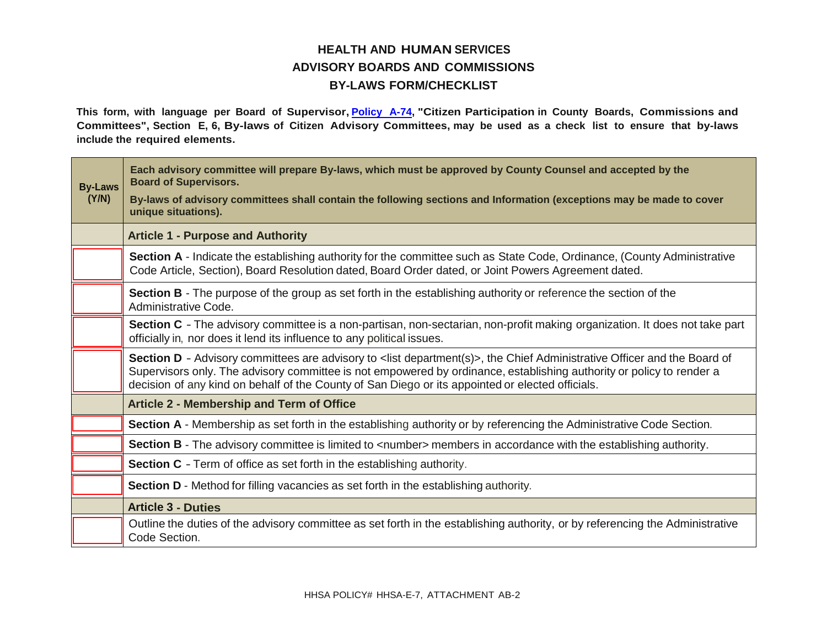### **HEALTH AND HUMAN SERVICES ADVISORY BOARDS AND COMMISSIONS BY-LAWS FORM/CHECKLIST**

**This form, with language per Board of Supervisor, [Policy A-74,](http://www.sandiegocounty.gov/content/dam/sdc/cob/docs/policy/A-74.pdf) "Citizen Participation in County Boards, Commissions and Committees", Section E, 6, By-laws of Citizen Advisory Committees, may be used as a check list to ensure that by-laws include the required elements.**

| <b>By-Laws</b><br>(Y/N) | Each advisory committee will prepare By-laws, which must be approved by County Counsel and accepted by the<br><b>Board of Supervisors.</b><br>By-laws of advisory committees shall contain the following sections and Information (exceptions may be made to cover<br>unique situations).                                                                       |  |  |
|-------------------------|-----------------------------------------------------------------------------------------------------------------------------------------------------------------------------------------------------------------------------------------------------------------------------------------------------------------------------------------------------------------|--|--|
|                         |                                                                                                                                                                                                                                                                                                                                                                 |  |  |
|                         | <b>Article 1 - Purpose and Authority</b>                                                                                                                                                                                                                                                                                                                        |  |  |
|                         | Section A - Indicate the establishing authority for the committee such as State Code, Ordinance, (County Administrative<br>Code Article, Section), Board Resolution dated, Board Order dated, or Joint Powers Agreement dated.                                                                                                                                  |  |  |
|                         | <b>Section B</b> - The purpose of the group as set forth in the establishing authority or reference the section of the<br>Administrative Code.                                                                                                                                                                                                                  |  |  |
|                         | Section C - The advisory committee is a non-partisan, non-sectarian, non-profit making organization. It does not take part<br>officially in, nor does it lend its influence to any political issues.                                                                                                                                                            |  |  |
|                         | Section D - Advisory committees are advisory to <list department(s)="">, the Chief Administrative Officer and the Board of<br/>Supervisors only. The advisory committee is not empowered by ordinance, establishing authority or policy to render a<br/>decision of any kind on behalf of the County of San Diego or its appointed or elected officials.</list> |  |  |
|                         | <b>Article 2 - Membership and Term of Office</b>                                                                                                                                                                                                                                                                                                                |  |  |
|                         | Section A - Membership as set forth in the establishing authority or by referencing the Administrative Code Section.                                                                                                                                                                                                                                            |  |  |
|                         | Section B - The advisory committee is limited to <number> members in accordance with the establishing authority.</number>                                                                                                                                                                                                                                       |  |  |
|                         | <b>Section C</b> - Term of office as set forth in the establishing authority.                                                                                                                                                                                                                                                                                   |  |  |
|                         | <b>Section D</b> - Method for filling vacancies as set forth in the establishing authority.                                                                                                                                                                                                                                                                     |  |  |
|                         | <b>Article 3 - Duties</b>                                                                                                                                                                                                                                                                                                                                       |  |  |
|                         | Outline the duties of the advisory committee as set forth in the establishing authority, or by referencing the Administrative<br>Code Section.                                                                                                                                                                                                                  |  |  |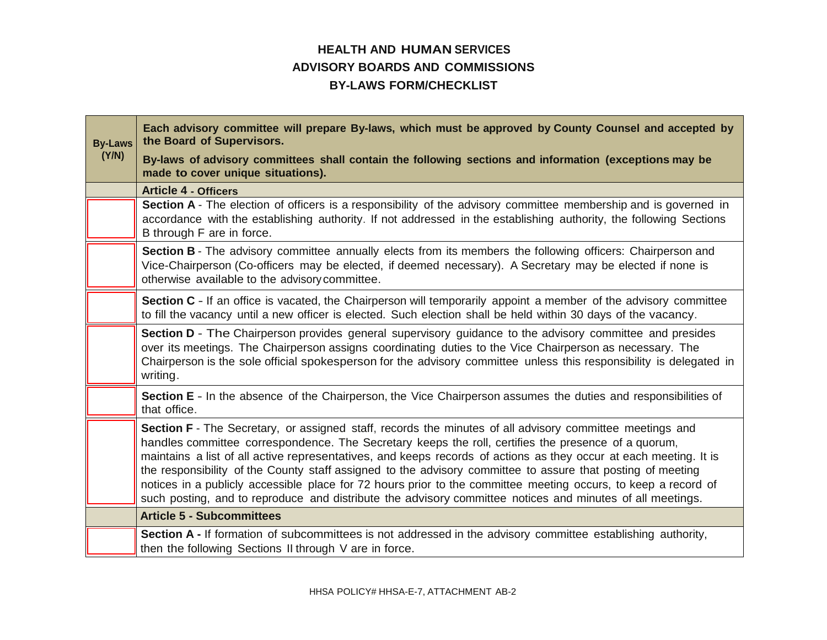### **HEALTH AND HUMAN SERVICES ADVISORY BOARDS AND COMMISSIONS BY-LAWS FORM/CHECKLIST**

| <b>By-Laws</b> | Each advisory committee will prepare By-laws, which must be approved by County Counsel and accepted by<br>the Board of Supervisors.                                                                                                                                                                                                                                                                                                                                                                                                                                                                                                                                                |  |
|----------------|------------------------------------------------------------------------------------------------------------------------------------------------------------------------------------------------------------------------------------------------------------------------------------------------------------------------------------------------------------------------------------------------------------------------------------------------------------------------------------------------------------------------------------------------------------------------------------------------------------------------------------------------------------------------------------|--|
| (Y/N)          | By-laws of advisory committees shall contain the following sections and information (exceptions may be<br>made to cover unique situations).                                                                                                                                                                                                                                                                                                                                                                                                                                                                                                                                        |  |
|                | <b>Article 4 - Officers</b>                                                                                                                                                                                                                                                                                                                                                                                                                                                                                                                                                                                                                                                        |  |
|                | Section A - The election of officers is a responsibility of the advisory committee membership and is governed in<br>accordance with the establishing authority. If not addressed in the establishing authority, the following Sections<br>B through F are in force.                                                                                                                                                                                                                                                                                                                                                                                                                |  |
|                | Section B - The advisory committee annually elects from its members the following officers: Chairperson and<br>Vice-Chairperson (Co-officers may be elected, if deemed necessary). A Secretary may be elected if none is<br>otherwise available to the advisory committee.                                                                                                                                                                                                                                                                                                                                                                                                         |  |
|                | Section C - If an office is vacated, the Chairperson will temporarily appoint a member of the advisory committee<br>to fill the vacancy until a new officer is elected. Such election shall be held within 30 days of the vacancy.                                                                                                                                                                                                                                                                                                                                                                                                                                                 |  |
|                | Section D - The Chairperson provides general supervisory guidance to the advisory committee and presides<br>over its meetings. The Chairperson assigns coordinating duties to the Vice Chairperson as necessary. The<br>Chairperson is the sole official spokesperson for the advisory committee unless this responsibility is delegated in<br>writing.                                                                                                                                                                                                                                                                                                                            |  |
|                | Section E - In the absence of the Chairperson, the Vice Chairperson assumes the duties and responsibilities of<br>that office.                                                                                                                                                                                                                                                                                                                                                                                                                                                                                                                                                     |  |
|                | Section F - The Secretary, or assigned staff, records the minutes of all advisory committee meetings and<br>handles committee correspondence. The Secretary keeps the roll, certifies the presence of a quorum,<br>maintains a list of all active representatives, and keeps records of actions as they occur at each meeting. It is<br>the responsibility of the County staff assigned to the advisory committee to assure that posting of meeting<br>notices in a publicly accessible place for 72 hours prior to the committee meeting occurs, to keep a record of<br>such posting, and to reproduce and distribute the advisory committee notices and minutes of all meetings. |  |
|                | <b>Article 5 - Subcommittees</b>                                                                                                                                                                                                                                                                                                                                                                                                                                                                                                                                                                                                                                                   |  |
|                | Section A - If formation of subcommittees is not addressed in the advisory committee establishing authority,<br>then the following Sections II through V are in force.                                                                                                                                                                                                                                                                                                                                                                                                                                                                                                             |  |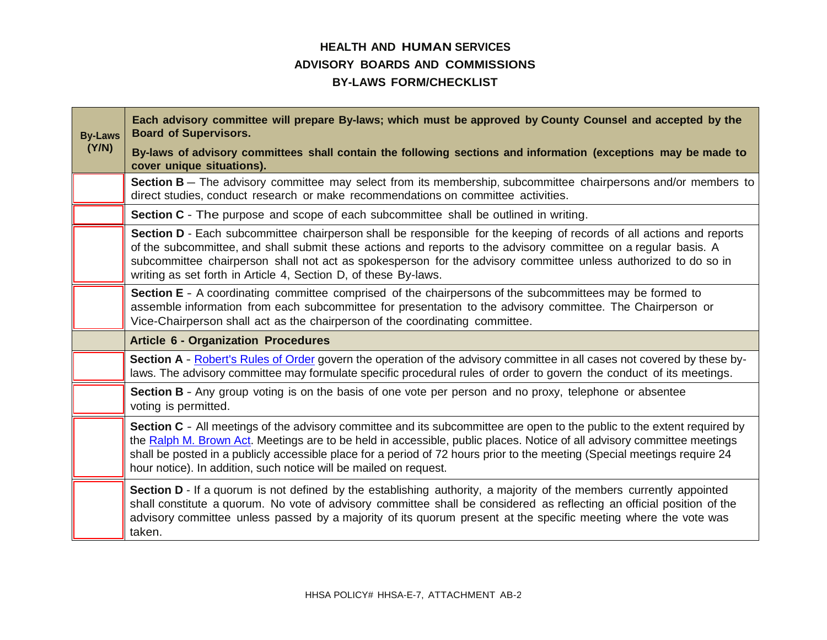### **HEALTH AND HUMAN SERVICES ADVISORY BOARDS AND COMMISSIONS BY-LAWS FORM/CHECKLIST**

| <b>By-Laws</b> | Each advisory committee will prepare By-laws; which must be approved by County Counsel and accepted by the<br><b>Board of Supervisors.</b>                                                                                                                                                                                                                                                                                                            |  |  |
|----------------|-------------------------------------------------------------------------------------------------------------------------------------------------------------------------------------------------------------------------------------------------------------------------------------------------------------------------------------------------------------------------------------------------------------------------------------------------------|--|--|
| (Y/N)          | By-laws of advisory committees shall contain the following sections and information (exceptions may be made to<br>cover unique situations).                                                                                                                                                                                                                                                                                                           |  |  |
|                | Section B - The advisory committee may select from its membership, subcommittee chairpersons and/or members to<br>direct studies, conduct research or make recommendations on committee activities.                                                                                                                                                                                                                                                   |  |  |
|                | <b>Section C</b> - The purpose and scope of each subcommittee shall be outlined in writing.                                                                                                                                                                                                                                                                                                                                                           |  |  |
|                | Section D - Each subcommittee chairperson shall be responsible for the keeping of records of all actions and reports<br>of the subcommittee, and shall submit these actions and reports to the advisory committee on a regular basis. A<br>subcommittee chairperson shall not act as spokesperson for the advisory committee unless authorized to do so in<br>writing as set forth in Article 4, Section D, of these By-laws.                         |  |  |
|                | Section E - A coordinating committee comprised of the chairpersons of the subcommittees may be formed to<br>assemble information from each subcommittee for presentation to the advisory committee. The Chairperson or<br>Vice-Chairperson shall act as the chairperson of the coordinating committee.                                                                                                                                                |  |  |
|                | <b>Article 6 - Organization Procedures</b>                                                                                                                                                                                                                                                                                                                                                                                                            |  |  |
|                | Section A - Robert's Rules of Order govern the operation of the advisory committee in all cases not covered by these by-<br>laws. The advisory committee may formulate specific procedural rules of order to govern the conduct of its meetings.                                                                                                                                                                                                      |  |  |
|                | Section B - Any group voting is on the basis of one vote per person and no proxy, telephone or absentee<br>voting is permitted.                                                                                                                                                                                                                                                                                                                       |  |  |
|                | Section C - All meetings of the advisory committee and its subcommittee are open to the public to the extent required by<br>the Ralph M. Brown Act. Meetings are to be held in accessible, public places. Notice of all advisory committee meetings<br>shall be posted in a publicly accessible place for a period of 72 hours prior to the meeting (Special meetings require 24<br>hour notice). In addition, such notice will be mailed on request. |  |  |
|                | Section D - If a quorum is not defined by the establishing authority, a majority of the members currently appointed<br>shall constitute a quorum. No vote of advisory committee shall be considered as reflecting an official position of the<br>advisory committee unless passed by a majority of its quorum present at the specific meeting where the vote was<br>taken.                                                                            |  |  |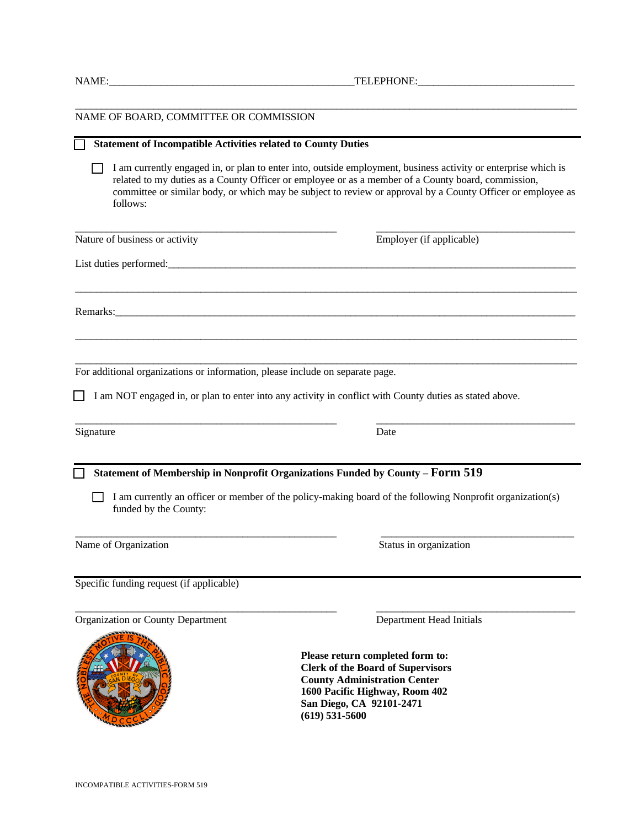|  | INCOMPATIBLE ACTIVITIES-FORM 519 |
|--|----------------------------------|
|--|----------------------------------|

| follows:                                                                      | I am currently engaged in, or plan to enter into, outside employment, business activity or enterprise which is<br>related to my duties as a County Officer or employee or as a member of a County board, commission,<br>committee or similar body, or which may be subject to review or approval by a County Officer or employee as |
|-------------------------------------------------------------------------------|-------------------------------------------------------------------------------------------------------------------------------------------------------------------------------------------------------------------------------------------------------------------------------------------------------------------------------------|
| Nature of business or activity                                                | Employer (if applicable)                                                                                                                                                                                                                                                                                                            |
|                                                                               |                                                                                                                                                                                                                                                                                                                                     |
|                                                                               |                                                                                                                                                                                                                                                                                                                                     |
| For additional organizations or information, please include on separate page. |                                                                                                                                                                                                                                                                                                                                     |
|                                                                               | I am NOT engaged in, or plan to enter into any activity in conflict with County duties as stated above.                                                                                                                                                                                                                             |
| Signature                                                                     | Date                                                                                                                                                                                                                                                                                                                                |
| funded by the County:                                                         | Statement of Membership in Nonprofit Organizations Funded by County - Form 519<br>I am currently an officer or member of the policy-making board of the following Nonprofit organization(s)                                                                                                                                         |
| Name of Organization                                                          | Status in organization                                                                                                                                                                                                                                                                                                              |
| Specific funding request (if applicable)                                      |                                                                                                                                                                                                                                                                                                                                     |
| Organization or County Department                                             | Department Head Initials                                                                                                                                                                                                                                                                                                            |
| <b>SEPPRE'S</b>                                                               | Please return completed form to:<br><b>Clerk of the Board of Supervisors</b><br><b>County Administration Center</b><br>1600 Pacific Highway, Room 402<br>San Diego, CA 92101-2471<br>$(619)$ 531-5600                                                                                                                               |

**T** Statement of Incompatible Activities related to County Duties

 $\Box$  I am currently engaged in, or plan to enter into, outside employment, business activity or enterprise which is

\_\_\_\_\_\_\_\_\_\_\_\_\_\_\_\_\_\_\_\_\_\_\_\_\_\_\_\_\_\_\_\_\_\_\_\_\_\_\_\_\_\_\_\_\_\_\_\_\_\_\_\_\_\_\_\_\_\_\_\_\_\_\_\_\_\_\_\_\_\_\_\_\_\_\_\_\_\_\_\_\_\_\_\_\_\_\_\_\_\_\_\_\_\_\_\_

NAME OF BOARD, COMMITTEE OR COMMISSION

NAME:\_\_\_\_\_\_\_\_\_\_\_\_\_\_\_\_\_\_\_\_\_\_\_\_\_\_\_\_\_\_\_\_\_\_\_\_\_\_\_\_\_\_\_\_\_\_\_TELEPHONE:\_\_\_\_\_\_\_\_\_\_\_\_\_\_\_\_\_\_\_\_\_\_\_\_\_\_\_\_\_\_